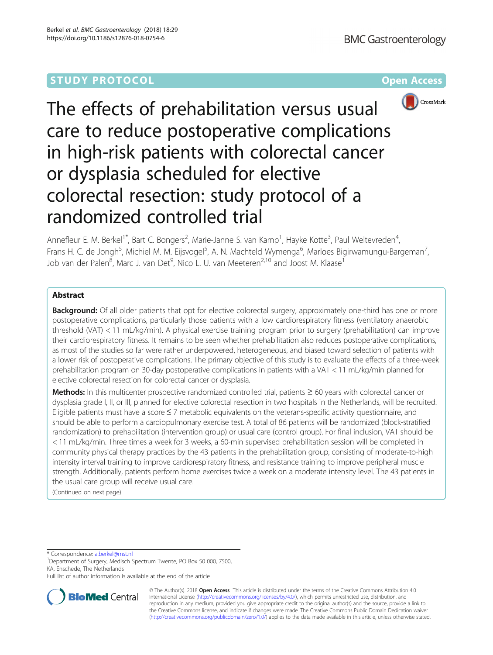# **STUDY PROTOCOL CONSUMING THE CONSUMING OPEN ACCESS**



The effects of prehabilitation versus usual care to reduce postoperative complications in high-risk patients with colorectal cancer or dysplasia scheduled for elective colorectal resection: study protocol of a randomized controlled trial

Annefleur E. M. Berkel<sup>1\*</sup>, Bart C. Bongers<sup>2</sup>, Marie-Janne S. van Kamp<sup>1</sup>, Hayke Kotte<sup>3</sup>, Paul Weltevreden<sup>4</sup> , Frans H. C. de Jongh<sup>5</sup>, Michiel M. M. Eijsvogel<sup>5</sup>, A. N. Machteld Wymenga<sup>6</sup>, Marloes Bigirwamungu-Bargeman<sup>7</sup> , Job van der Palen<sup>8</sup>, Marc J. van Det<sup>9</sup>, Nico L. U. van Meeteren<sup>2,10</sup> and Joost M. Klaase<sup>1</sup>

## Abstract

Background: Of all older patients that opt for elective colorectal surgery, approximately one-third has one or more postoperative complications, particularly those patients with a low cardiorespiratory fitness (ventilatory anaerobic threshold (VAT) < 11 mL/kg/min). A physical exercise training program prior to surgery (prehabilitation) can improve their cardiorespiratory fitness. It remains to be seen whether prehabilitation also reduces postoperative complications, as most of the studies so far were rather underpowered, heterogeneous, and biased toward selection of patients with a lower risk of postoperative complications. The primary objective of this study is to evaluate the effects of a three-week prehabilitation program on 30-day postoperative complications in patients with a VAT < 11 mL/kg/min planned for elective colorectal resection for colorectal cancer or dysplasia.

Methods: In this multicenter prospective randomized controlled trial, patients ≥ 60 years with colorectal cancer or dysplasia grade I, II, or III, planned for elective colorectal resection in two hospitals in the Netherlands, will be recruited. Eligible patients must have a score ≤ 7 metabolic equivalents on the veterans-specific activity questionnaire, and should be able to perform a cardiopulmonary exercise test. A total of 86 patients will be randomized (block-stratified randomization) to prehabilitation (intervention group) or usual care (control group). For final inclusion, VAT should be < 11 mL/kg/min. Three times a week for 3 weeks, a 60-min supervised prehabilitation session will be completed in community physical therapy practices by the 43 patients in the prehabilitation group, consisting of moderate-to-high intensity interval training to improve cardiorespiratory fitness, and resistance training to improve peripheral muscle strength. Additionally, patients perform home exercises twice a week on a moderate intensity level. The 43 patients in the usual care group will receive usual care.

(Continued on next page)

\* Correspondence: [a.berkel@mst.nl](mailto:a.berkel@mst.nl) <sup>1</sup>

<sup>1</sup>Department of Surgery, Medisch Spectrum Twente, PO Box 50 000, 7500, KA, Enschede, The Netherlands

Full list of author information is available at the end of the article



© The Author(s). 2018 Open Access This article is distributed under the terms of the Creative Commons Attribution 4.0 International License [\(http://creativecommons.org/licenses/by/4.0/](http://creativecommons.org/licenses/by/4.0/)), which permits unrestricted use, distribution, and reproduction in any medium, provided you give appropriate credit to the original author(s) and the source, provide a link to the Creative Commons license, and indicate if changes were made. The Creative Commons Public Domain Dedication waiver [\(http://creativecommons.org/publicdomain/zero/1.0/](http://creativecommons.org/publicdomain/zero/1.0/)) applies to the data made available in this article, unless otherwise stated.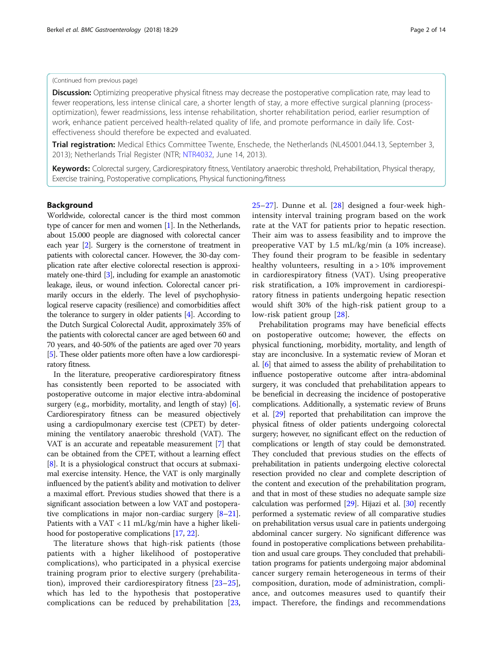## (Continued from previous page)

**Discussion:** Optimizing preoperative physical fitness may decrease the postoperative complication rate, may lead to fewer reoperations, less intense clinical care, a shorter length of stay, a more effective surgical planning (processoptimization), fewer readmissions, less intense rehabilitation, shorter rehabilitation period, earlier resumption of work, enhance patient perceived health-related quality of life, and promote performance in daily life. Costeffectiveness should therefore be expected and evaluated.

Trial registration: Medical Ethics Committee Twente, Enschede, the Netherlands (NL45001.044.13, September 3, 2013); Netherlands Trial Register (NTR; [NTR4032,](http://www.trialregister.nl/trialreg/admin/rctview.asp?TC=4032) June 14, 2013).

Keywords: Colorectal surgery, Cardiorespiratory fitness, Ventilatory anaerobic threshold, Prehabilitation, Physical therapy, Exercise training, Postoperative complications, Physical functioning/fitness

## Background

Worldwide, colorectal cancer is the third most common type of cancer for men and women [\[1](#page-11-0)]. In the Netherlands, about 15.000 people are diagnosed with colorectal cancer each year [\[2\]](#page-11-0). Surgery is the cornerstone of treatment in patients with colorectal cancer. However, the 30-day complication rate after elective colorectal resection is approximately one-third [\[3](#page-11-0)], including for example an anastomotic leakage, ileus, or wound infection. Colorectal cancer primarily occurs in the elderly. The level of psychophysiological reserve capacity (resilience) and comorbidities affect the tolerance to surgery in older patients [[4](#page-11-0)]. According to the Dutch Surgical Colorectal Audit, approximately 35% of the patients with colorectal cancer are aged between 60 and 70 years, and 40-50% of the patients are aged over 70 years [[5](#page-11-0)]. These older patients more often have a low cardiorespiratory fitness.

In the literature, preoperative cardiorespiratory fitness has consistently been reported to be associated with postoperative outcome in major elective intra-abdominal surgery (e.g., morbidity, mortality, and length of stay) [[6](#page-11-0)]. Cardiorespiratory fitness can be measured objectively using a cardiopulmonary exercise test (CPET) by determining the ventilatory anaerobic threshold (VAT). The VAT is an accurate and repeatable measurement [\[7](#page-11-0)] that can be obtained from the CPET, without a learning effect [[8\]](#page-12-0). It is a physiological construct that occurs at submaximal exercise intensity. Hence, the VAT is only marginally influenced by the patient's ability and motivation to deliver a maximal effort. Previous studies showed that there is a significant association between a low VAT and postoperative complications in major non-cardiac surgery [\[8](#page-12-0)–[21](#page-12-0)]. Patients with a VAT < 11 mL/kg/min have a higher likelihood for postoperative complications [\[17](#page-12-0), [22](#page-12-0)].

The literature shows that high-risk patients (those patients with a higher likelihood of postoperative complications), who participated in a physical exercise training program prior to elective surgery (prehabilitation), improved their cardiorespiratory fitness [[23](#page-12-0)–[25](#page-12-0)], which has led to the hypothesis that postoperative complications can be reduced by prehabilitation [\[23](#page-12-0), [25](#page-12-0)–[27\]](#page-12-0). Dunne et al. [[28\]](#page-12-0) designed a four-week highintensity interval training program based on the work rate at the VAT for patients prior to hepatic resection. Their aim was to assess feasibility and to improve the preoperative VAT by 1.5 mL/kg/min (a 10% increase). They found their program to be feasible in sedentary healthy volunteers, resulting in  $a > 10\%$  improvement in cardiorespiratory fitness (VAT). Using preoperative risk stratification, a 10% improvement in cardiorespiratory fitness in patients undergoing hepatic resection would shift 30% of the high-risk patient group to a low-risk patient group [[28\]](#page-12-0).

Prehabilitation programs may have beneficial effects on postoperative outcome; however, the effects on physical functioning, morbidity, mortality, and length of stay are inconclusive. In a systematic review of Moran et al. [[6\]](#page-11-0) that aimed to assess the ability of prehabilitation to influence postoperative outcome after intra-abdominal surgery, it was concluded that prehabilitation appears to be beneficial in decreasing the incidence of postoperative complications. Additionally, a systematic review of Bruns et al. [[29](#page-12-0)] reported that prehabilitation can improve the physical fitness of older patients undergoing colorectal surgery; however, no significant effect on the reduction of complications or length of stay could be demonstrated. They concluded that previous studies on the effects of prehabilitation in patients undergoing elective colorectal resection provided no clear and complete description of the content and execution of the prehabilitation program, and that in most of these studies no adequate sample size calculation was performed  $[29]$  $[29]$  $[29]$ . Hijazi et al.  $[30]$  $[30]$  recently performed a systematic review of all comparative studies on prehabilitation versus usual care in patients undergoing abdominal cancer surgery. No significant difference was found in postoperative complications between prehabilitation and usual care groups. They concluded that prehabilitation programs for patients undergoing major abdominal cancer surgery remain heterogeneous in terms of their composition, duration, mode of administration, compliance, and outcomes measures used to quantify their impact. Therefore, the findings and recommendations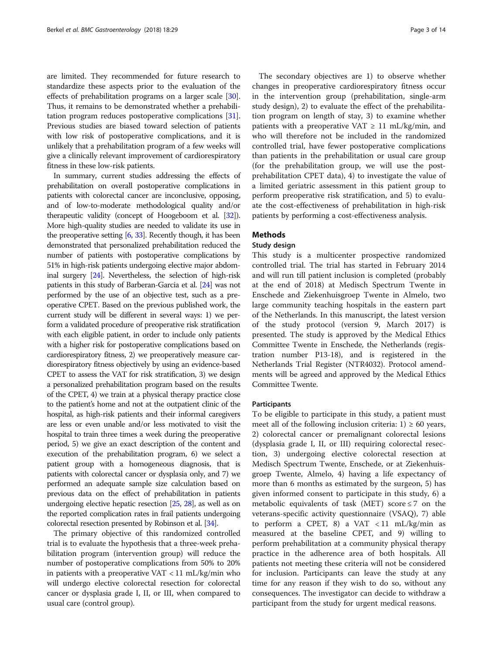are limited. They recommended for future research to standardize these aspects prior to the evaluation of the effects of prehabilitation programs on a larger scale [[30](#page-12-0)]. Thus, it remains to be demonstrated whether a prehabilitation program reduces postoperative complications [[31](#page-12-0)]. Previous studies are biased toward selection of patients with low risk of postoperative complications, and it is unlikely that a prehabilitation program of a few weeks will give a clinically relevant improvement of cardiorespiratory fitness in these low-risk patients.

In summary, current studies addressing the effects of prehabilitation on overall postoperative complications in patients with colorectal cancer are inconclusive, opposing, and of low-to-moderate methodological quality and/or therapeutic validity (concept of Hoogeboom et al. [\[32\]](#page-12-0)). More high-quality studies are needed to validate its use in the preoperative setting [[6](#page-11-0), [33](#page-12-0)]. Recently though, it has been demonstrated that personalized prehabilitation reduced the number of patients with postoperative complications by 51% in high-risk patients undergoing elective major abdominal surgery [\[24](#page-12-0)]. Nevertheless, the selection of high-risk patients in this study of Barberan-Garcia et al. [\[24\]](#page-12-0) was not performed by the use of an objective test, such as a preoperative CPET. Based on the previous published work, the current study will be different in several ways: 1) we perform a validated procedure of preoperative risk stratification with each eligible patient, in order to include only patients with a higher risk for postoperative complications based on cardiorespiratory fitness, 2) we preoperatively measure cardiorespiratory fitness objectively by using an evidence-based CPET to assess the VAT for risk stratification, 3) we design a personalized prehabilitation program based on the results of the CPET, 4) we train at a physical therapy practice close to the patient's home and not at the outpatient clinic of the hospital, as high-risk patients and their informal caregivers are less or even unable and/or less motivated to visit the hospital to train three times a week during the preoperative period, 5) we give an exact description of the content and execution of the prehabilitation program, 6) we select a patient group with a homogeneous diagnosis, that is patients with colorectal cancer or dysplasia only, and 7) we performed an adequate sample size calculation based on previous data on the effect of prehabilitation in patients undergoing elective hepatic resection [\[25](#page-12-0), [28\]](#page-12-0), as well as on the reported complication rates in frail patients undergoing colorectal resection presented by Robinson et al. [[34\]](#page-12-0).

The primary objective of this randomized controlled trial is to evaluate the hypothesis that a three-week prehabilitation program (intervention group) will reduce the number of postoperative complications from 50% to 20% in patients with a preoperative VAT  $< 11$  mL/kg/min who will undergo elective colorectal resection for colorectal cancer or dysplasia grade I, II, or III, when compared to usual care (control group).

The secondary objectives are 1) to observe whether changes in preoperative cardiorespiratory fitness occur in the intervention group (prehabilitation, single-arm study design), 2) to evaluate the effect of the prehabilitation program on length of stay, 3) to examine whether patients with a preoperative VAT  $\geq$  11 mL/kg/min, and who will therefore not be included in the randomized controlled trial, have fewer postoperative complications than patients in the prehabilitation or usual care group (for the prehabilitation group, we will use the postprehabilitation CPET data), 4) to investigate the value of a limited geriatric assessment in this patient group to perform preoperative risk stratification, and 5) to evaluate the cost-effectiveness of prehabilitation in high-risk patients by performing a cost-effectiveness analysis.

## Methods

## Study design

This study is a multicenter prospective randomized controlled trial. The trial has started in February 2014 and will run till patient inclusion is completed (probably at the end of 2018) at Medisch Spectrum Twente in Enschede and Ziekenhuisgroep Twente in Almelo, two large community teaching hospitals in the eastern part of the Netherlands. In this manuscript, the latest version of the study protocol (version 9, March 2017) is presented. The study is approved by the Medical Ethics Committee Twente in Enschede, the Netherlands (registration number P13-18), and is registered in the Netherlands Trial Register (NTR4032). Protocol amendments will be agreed and approved by the Medical Ethics Committee Twente.

#### Participants

To be eligible to participate in this study, a patient must meet all of the following inclusion criteria:  $1$ )  $\geq$  60 years, 2) colorectal cancer or premalignant colorectal lesions (dysplasia grade I, II, or III) requiring colorectal resection, 3) undergoing elective colorectal resection at Medisch Spectrum Twente, Enschede, or at Ziekenhuisgroep Twente, Almelo, 4) having a life expectancy of more than 6 months as estimated by the surgeon, 5) has given informed consent to participate in this study, 6) a metabolic equivalents of task (MET) score  $\leq 7$  on the veterans-specific activity questionnaire (VSAQ), 7) able to perform a CPET, 8) a VAT  $\langle 11 \text{ mL/kg/min}$  as measured at the baseline CPET, and 9) willing to perform prehabilitation at a community physical therapy practice in the adherence area of both hospitals. All patients not meeting these criteria will not be considered for inclusion. Participants can leave the study at any time for any reason if they wish to do so, without any consequences. The investigator can decide to withdraw a participant from the study for urgent medical reasons.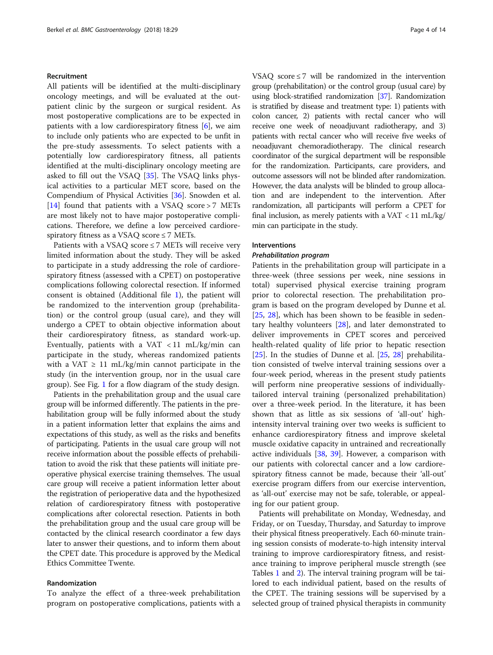## Recruitment

All patients will be identified at the multi-disciplinary oncology meetings, and will be evaluated at the outpatient clinic by the surgeon or surgical resident. As most postoperative complications are to be expected in patients with a low cardiorespiratory fitness  $[6]$  $[6]$  $[6]$ , we aim to include only patients who are expected to be unfit in the pre-study assessments. To select patients with a potentially low cardiorespiratory fitness, all patients identified at the multi-disciplinary oncology meeting are asked to fill out the VSAQ [[35](#page-12-0)]. The VSAQ links physical activities to a particular MET score, based on the Compendium of Physical Activities [[36\]](#page-12-0). Snowden et al. [[14\]](#page-12-0) found that patients with a VSAQ score > 7 METs are most likely not to have major postoperative complications. Therefore, we define a low perceived cardiorespiratory fitness as a VSAQ score  $\leq$  7 METs.

Patients with a VSAQ score  $\leq$  7 METs will receive very limited information about the study. They will be asked to participate in a study addressing the role of cardiorespiratory fitness (assessed with a CPET) on postoperative complications following colorectal resection. If informed consent is obtained (Additional file [1](#page-11-0)), the patient will be randomized to the intervention group (prehabilitation) or the control group (usual care), and they will undergo a CPET to obtain objective information about their cardiorespiratory fitness, as standard work-up. Eventually, patients with a VAT  $<$  11 mL/kg/min can participate in the study, whereas randomized patients with a VAT  $\geq$  11 mL/kg/min cannot participate in the study (in the intervention group, nor in the usual care group). See Fig. [1](#page-4-0) for a flow diagram of the study design.

Patients in the prehabilitation group and the usual care group will be informed differently. The patients in the prehabilitation group will be fully informed about the study in a patient information letter that explains the aims and expectations of this study, as well as the risks and benefits of participating. Patients in the usual care group will not receive information about the possible effects of prehabilitation to avoid the risk that these patients will initiate preoperative physical exercise training themselves. The usual care group will receive a patient information letter about the registration of perioperative data and the hypothesized relation of cardiorespiratory fitness with postoperative complications after colorectal resection. Patients in both the prehabilitation group and the usual care group will be contacted by the clinical research coordinator a few days later to answer their questions, and to inform them about the CPET date. This procedure is approved by the Medical Ethics Committee Twente.

## Randomization

To analyze the effect of a three-week prehabilitation program on postoperative complications, patients with a

VSAQ score  $\leq$  7 will be randomized in the intervention group (prehabilitation) or the control group (usual care) by using block-stratified randomization [\[37\]](#page-12-0). Randomization is stratified by disease and treatment type: 1) patients with colon cancer, 2) patients with rectal cancer who will receive one week of neoadjuvant radiotherapy, and 3) patients with rectal cancer who will receive five weeks of neoadjuvant chemoradiotherapy. The clinical research coordinator of the surgical department will be responsible for the randomization. Participants, care providers, and outcome assessors will not be blinded after randomization. However, the data analysts will be blinded to group allocation and are independent to the intervention. After randomization, all participants will perform a CPET for final inclusion, as merely patients with a  $VAT < 11$  mL/kg/ min can participate in the study.

## Interventions

#### Prehabilitation program

Patients in the prehabilitation group will participate in a three-week (three sessions per week, nine sessions in total) supervised physical exercise training program prior to colorectal resection. The prehabilitation program is based on the program developed by Dunne et al. [[25,](#page-12-0) [28](#page-12-0)], which has been shown to be feasible in sedentary healthy volunteers [\[28](#page-12-0)], and later demonstrated to deliver improvements in CPET scores and perceived health-related quality of life prior to hepatic resection [[25\]](#page-12-0). In the studies of Dunne et al. [\[25,](#page-12-0) [28\]](#page-12-0) prehabilitation consisted of twelve interval training sessions over a four-week period, whereas in the present study patients will perform nine preoperative sessions of individuallytailored interval training (personalized prehabilitation) over a three-week period. In the literature, it has been shown that as little as six sessions of 'all-out' highintensity interval training over two weeks is sufficient to enhance cardiorespiratory fitness and improve skeletal muscle oxidative capacity in untrained and recreationally active individuals  $[38, 39]$  $[38, 39]$  $[38, 39]$  $[38, 39]$ . However, a comparison with our patients with colorectal cancer and a low cardiorespiratory fitness cannot be made, because their 'all-out' exercise program differs from our exercise intervention, as 'all-out' exercise may not be safe, tolerable, or appealing for our patient group.

Patients will prehabilitate on Monday, Wednesday, and Friday, or on Tuesday, Thursday, and Saturday to improve their physical fitness preoperatively. Each 60-minute training session consists of moderate-to-high intensity interval training to improve cardiorespiratory fitness, and resistance training to improve peripheral muscle strength (see Tables [1](#page-5-0) and [2\)](#page-5-0). The interval training program will be tailored to each individual patient, based on the results of the CPET. The training sessions will be supervised by a selected group of trained physical therapists in community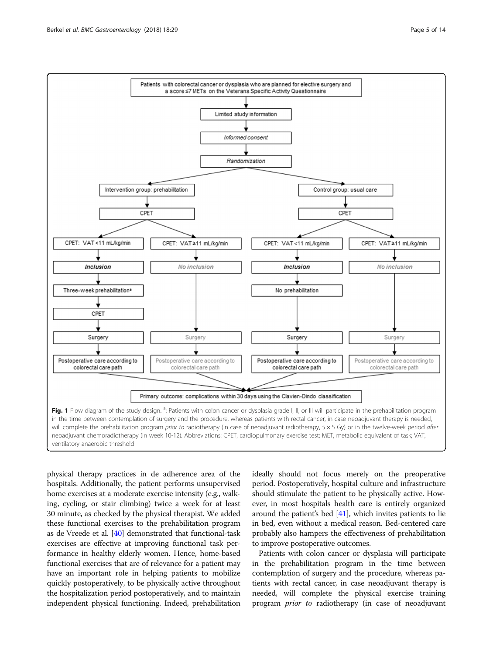<span id="page-4-0"></span>

ventilatory anaerobic threshold

physical therapy practices in de adherence area of the hospitals. Additionally, the patient performs unsupervised home exercises at a moderate exercise intensity (e.g., walking, cycling, or stair climbing) twice a week for at least 30 minute, as checked by the physical therapist. We added these functional exercises to the prehabilitation program as de Vreede et al. [\[40](#page-12-0)] demonstrated that functional-task exercises are effective at improving functional task performance in healthy elderly women. Hence, home-based functional exercises that are of relevance for a patient may have an important role in helping patients to mobilize quickly postoperatively, to be physically active throughout the hospitalization period postoperatively, and to maintain independent physical functioning. Indeed, prehabilitation

ideally should not focus merely on the preoperative period. Postoperatively, hospital culture and infrastructure should stimulate the patient to be physically active. However, in most hospitals health care is entirely organized around the patient's bed [\[41\]](#page-12-0), which invites patients to lie in bed, even without a medical reason. Bed-centered care probably also hampers the effectiveness of prehabilitation to improve postoperative outcomes.

Patients with colon cancer or dysplasia will participate in the prehabilitation program in the time between contemplation of surgery and the procedure, whereas patients with rectal cancer, in case neoadjuvant therapy is needed, will complete the physical exercise training program prior to radiotherapy (in case of neoadjuvant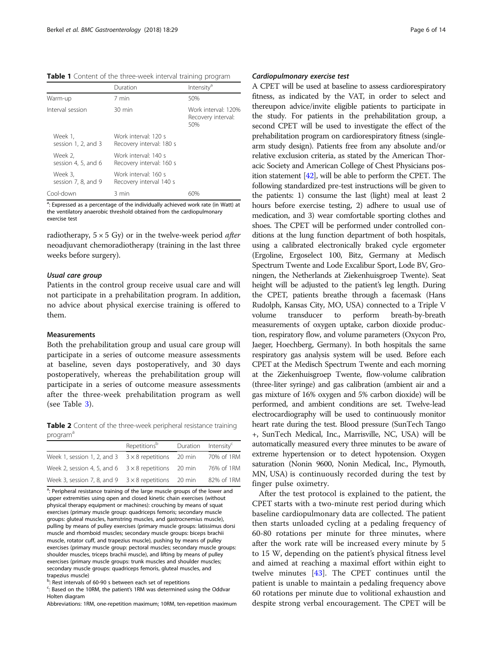<span id="page-5-0"></span>Table 1 Content of the three-week interval training program

|                                  | Duration                                         | Intensity <sup>a</sup>                           |  |
|----------------------------------|--------------------------------------------------|--------------------------------------------------|--|
| Warm-up                          | 7 min                                            | 50%                                              |  |
| Interval session                 | $30 \text{ min}$                                 | Work interval: 120%<br>Recovery interval:<br>50% |  |
| Week 1.<br>session 1, 2, and 3   | Work interval: 120 s<br>Recovery interval: 180 s |                                                  |  |
| Week 2.<br>session 4, 5, and $6$ | Work interval: 140 s<br>Recovery interval: 160 s |                                                  |  |
| Week 3.<br>session 7, 8, and 9   | Work interval: 160 s<br>Recovery interval 140 s  |                                                  |  |
| Cool-down                        | 3 min                                            |                                                  |  |

<sup>a</sup>: Expressed as a percentage of the individually achieved work rate (in Watt) at the ventilatory anaerobic threshold obtained from the cardiopulmonary exercise test

radiotherapy,  $5 \times 5$  Gy) or in the twelve-week period *after* neoadjuvant chemoradiotherapy (training in the last three weeks before surgery).

## Usual care group

Patients in the control group receive usual care and will not participate in a prehabilitation program. In addition, no advice about physical exercise training is offered to them.

#### **Measurements**

Both the prehabilitation group and usual care group will participate in a series of outcome measure assessments at baseline, seven days postoperatively, and 30 days postoperatively, whereas the prehabilitation group will participate in a series of outcome measure assessments after the three-week prehabilitation program as well (see Table [3\)](#page-6-0).

Table 2 Content of the three-week peripheral resistance training program<sup>a</sup>

|                                                                    | Repetitionsb | Duration Intensity <sup>c</sup> |
|--------------------------------------------------------------------|--------------|---------------------------------|
| Week 1, session 1, 2, and $3 \times 8$ repetitions 20 min          |              | 70% of 1RM                      |
| Week 2, session 4, 5, and $6 \times 3 \times 8$ repetitions 20 min |              | 76% of 1RM                      |
| Week 3, session 7, 8, and 9 $3 \times 8$ repetitions 20 min        |              | 82% of 1RM                      |

<sup>a</sup>: Peripheral resistance training of the large muscle groups of the lower and upper extremities using open and closed kinetic chain exercises (without physical therapy equipment or machines): crouching by means of squat exercises (primary muscle group: quadriceps femoris; secondary muscle groups: gluteal muscles, hamstring muscles, and gastrocnemius muscle), pulling by means of pulley exercises (primary muscle groups: latissimus dorsi muscle and rhomboid muscles; secondary muscle groups: biceps brachii muscle, rotator cuff, and trapezius muscle), pushing by means of pulley exercises (primary muscle group: pectoral muscles; secondary muscle groups: shoulder muscles, triceps brachii muscle), and lifting by means of pulley exercises (primary muscle groups: trunk muscles and shoulder muscles; secondary muscle groups: quadriceps femoris, gluteal muscles, and trapezius muscle)

<sup>b</sup>: Rest intervals of 60-90 s between each set of repetitions

<sup>c</sup>: Based on the 10RM, the patient's 1RM was determined using the Oddvar Holten diagram

Abbreviations: 1RM, one-repetition maximum; 10RM, ten-repetition maximum

## Cardiopulmonary exercise test

A CPET will be used at baseline to assess cardiorespiratory fitness, as indicated by the VAT, in order to select and thereupon advice/invite eligible patients to participate in the study. For patients in the prehabilitation group, a second CPET will be used to investigate the effect of the prehabilitation program on cardiorespiratory fitness (singlearm study design). Patients free from any absolute and/or relative exclusion criteria, as stated by the American Thoracic Society and American College of Chest Physicians position statement [[42](#page-12-0)], will be able to perform the CPET. The following standardized pre-test instructions will be given to the patients: 1) consume the last (light) meal at least 2 hours before exercise testing, 2) adhere to usual use of medication, and 3) wear comfortable sporting clothes and shoes. The CPET will be performed under controlled conditions at the lung function department of both hospitals, using a calibrated electronically braked cycle ergometer (Ergoline, Ergoselect 100, Bitz, Germany at Medisch Spectrum Twente and Lode Excalibur Sport, Lode BV, Groningen, the Netherlands at Ziekenhuisgroep Twente). Seat height will be adjusted to the patient's leg length. During the CPET, patients breathe through a facemask (Hans Rudolph, Kansas City, MO, USA) connected to a Triple V volume transducer to perform breath-by-breath measurements of oxygen uptake, carbon dioxide production, respiratory flow, and volume parameters (Oxycon Pro, Jaeger, Hoechberg, Germany). In both hospitals the same respiratory gas analysis system will be used. Before each CPET at the Medisch Spectrum Twente and each morning at the Ziekenhuisgroep Twente, flow-volume calibration (three-liter syringe) and gas calibration (ambient air and a gas mixture of 16% oxygen and 5% carbon dioxide) will be performed, and ambient conditions are set. Twelve-lead electrocardiography will be used to continuously monitor heart rate during the test. Blood pressure (SunTech Tango +, SunTech Medical, Inc., Marrisville, NC, USA) will be automatically measured every three minutes to be aware of extreme hypertension or to detect hypotension. Oxygen saturation (Nonin 9600, Nonin Medical, Inc., Plymouth, MN, USA) is continuously recorded during the test by finger pulse oximetry.

After the test protocol is explained to the patient, the CPET starts with a two-minute rest period during which baseline cardiopulmonary data are collected. The patient then starts unloaded cycling at a pedaling frequency of 60-80 rotations per minute for three minutes, where after the work rate will be increased every minute by 5 to 15 W, depending on the patient's physical fitness level and aimed at reaching a maximal effort within eight to twelve minutes [[43\]](#page-12-0). The CPET continues until the patient is unable to maintain a pedaling frequency above 60 rotations per minute due to volitional exhaustion and despite strong verbal encouragement. The CPET will be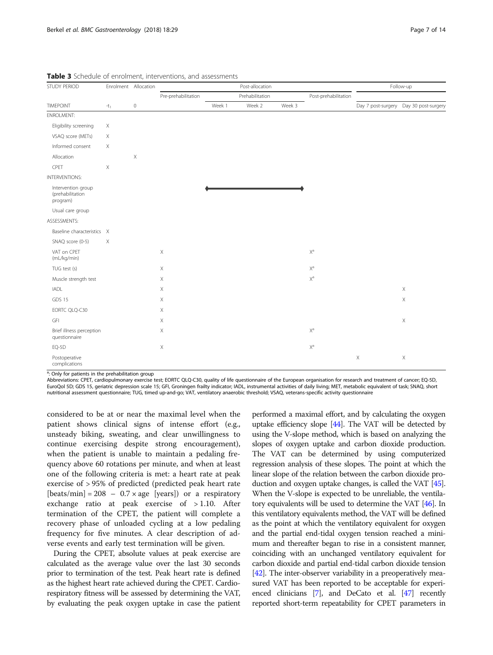| STUDY PERIOD                                       |             | Enrolment Allocation | Post-allocation     |                 |        | Follow-up |                       |                    |                     |
|----------------------------------------------------|-------------|----------------------|---------------------|-----------------|--------|-----------|-----------------------|--------------------|---------------------|
|                                                    |             |                      | Pre-prehabilitation | Prehabilitation |        |           | Post-prehabilitation  |                    |                     |
| <b>TIMEPOINT</b>                                   | $-t_1$      | $\mathbb O$          |                     | Week 1          | Week 2 | Week 3    |                       | Day 7 post-surgery | Day 30 post-surgery |
| <b>ENROLMENT:</b>                                  |             |                      |                     |                 |        |           |                       |                    |                     |
| Eligibility screening                              | $\chi$      |                      |                     |                 |        |           |                       |                    |                     |
| VSAQ score (METs)                                  | $\mathsf X$ |                      |                     |                 |        |           |                       |                    |                     |
| Informed consent                                   | X           |                      |                     |                 |        |           |                       |                    |                     |
| Allocation                                         |             | $\mathsf X$          |                     |                 |        |           |                       |                    |                     |
| CPET                                               | Χ           |                      |                     |                 |        |           |                       |                    |                     |
| <b>INTERVENTIONS:</b>                              |             |                      |                     |                 |        |           |                       |                    |                     |
| Intervention group<br>(prehabilitation<br>program) |             |                      |                     |                 |        |           |                       |                    |                     |
| Usual care group                                   |             |                      |                     |                 |        |           |                       |                    |                     |
| ASSESSMENTS:                                       |             |                      |                     |                 |        |           |                       |                    |                     |
| Baseline characteristics X                         |             |                      |                     |                 |        |           |                       |                    |                     |
| SNAQ score (0-5)                                   | $\chi$      |                      |                     |                 |        |           |                       |                    |                     |
| VAT on CPET<br>(mL/kg/min)                         |             |                      | $\mathsf X$         |                 |        |           | $\mathsf{X}^\text{a}$ |                    |                     |
| TUG test (s)                                       |             |                      | $\mathsf X$         |                 |        |           | $\mathsf{X}^\text{a}$ |                    |                     |
| Muscle strength test                               |             |                      | $\mathsf X$         |                 |        |           | $\mathsf{X}^\text{a}$ |                    |                     |
| <b>IADL</b>                                        |             |                      | $\mathsf X$         |                 |        |           |                       |                    | $\mathsf X$         |
| GDS 15                                             |             |                      | Χ                   |                 |        |           |                       |                    | X                   |
| EORTC QLQ-C30                                      |             |                      | $\mathsf X$         |                 |        |           |                       |                    |                     |
| GFI                                                |             |                      | $\mathsf X$         |                 |        |           |                       |                    | $\mathsf X$         |
| Brief illness perception<br>questionnaire          |             |                      | X                   |                 |        |           | $\mathsf{X}^\text{a}$ |                    |                     |
| EQ-5D                                              |             |                      | $\mathsf X$         |                 |        |           | $\mathsf{X}^\text{a}$ |                    |                     |
| Postoperative<br>complications                     |             |                      |                     |                 |        |           |                       | $\mathsf X$        | X                   |

<span id="page-6-0"></span>Table 3 Schedule of enrolment, interventions, and assessments

<sup>a</sup>: Only for patients in the prehabilitation group

Abbreviations: CPET, cardiopulmonary exercise test; EORTC QLQ-C30, quality of life questionnaire of the European organisation for research and treatment of cancer; EQ-5D, EuroQol 5D; GDS 15, geriatric depression scale 15; GFI, Groningen frailty indicator; IADL, instrumental activities of daily living; MET, metabolic equivalent of task; SNAQ, short nutritional assessment questionnaire; TUG, timed up-and-go; VAT, ventilatory anaerobic threshold; VSAQ, veterans-specific activity questionnaire

considered to be at or near the maximal level when the patient shows clinical signs of intense effort (e.g., unsteady biking, sweating, and clear unwillingness to continue exercising despite strong encouragement), when the patient is unable to maintain a pedaling frequency above 60 rotations per minute, and when at least one of the following criteria is met: a heart rate at peak exercise of > 95% of predicted (predicted peak heart rate  $\text{[beats/min]} = 208 - 0.7 \times \text{age}$  [years]) or a respiratory exchange ratio at peak exercise of > 1.10. After termination of the CPET, the patient will complete a recovery phase of unloaded cycling at a low pedaling frequency for five minutes. A clear description of adverse events and early test termination will be given.

During the CPET, absolute values at peak exercise are calculated as the average value over the last 30 seconds prior to termination of the test. Peak heart rate is defined as the highest heart rate achieved during the CPET. Cardiorespiratory fitness will be assessed by determining the VAT, by evaluating the peak oxygen uptake in case the patient performed a maximal effort, and by calculating the oxygen uptake efficiency slope [\[44\]](#page-12-0). The VAT will be detected by using the V-slope method, which is based on analyzing the slopes of oxygen uptake and carbon dioxide production. The VAT can be determined by using computerized regression analysis of these slopes. The point at which the linear slope of the relation between the carbon dioxide production and oxygen uptake changes, is called the VAT [\[45](#page-12-0)]. When the V-slope is expected to be unreliable, the ventilatory equivalents will be used to determine the VAT [[46](#page-12-0)]. In this ventilatory equivalents method, the VAT will be defined as the point at which the ventilatory equivalent for oxygen and the partial end-tidal oxygen tension reached a minimum and thereafter began to rise in a consistent manner, coinciding with an unchanged ventilatory equivalent for carbon dioxide and partial end-tidal carbon dioxide tension [[42](#page-12-0)]. The inter-observer variability in a preoperatively measured VAT has been reported to be acceptable for experienced clinicians [[7](#page-11-0)], and DeCato et al. [\[47](#page-12-0)] recently reported short-term repeatability for CPET parameters in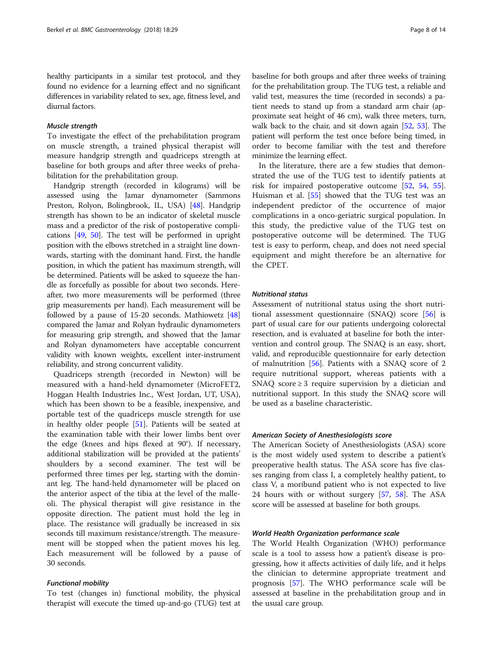healthy participants in a similar test protocol, and they found no evidence for a learning effect and no significant differences in variability related to sex, age, fitness level, and diurnal factors.

#### Muscle strength

To investigate the effect of the prehabilitation program on muscle strength, a trained physical therapist will measure handgrip strength and quadriceps strength at baseline for both groups and after three weeks of prehabilitation for the prehabilitation group.

Handgrip strength (recorded in kilograms) will be assessed using the Jamar dynamometer (Sammons Preston, Rolyon, Bolingbrook, IL, USA) [\[48](#page-12-0)]. Handgrip strength has shown to be an indicator of skeletal muscle mass and a predictor of the risk of postoperative complications [[49](#page-12-0), [50\]](#page-12-0). The test will be performed in upright position with the elbows stretched in a straight line downwards, starting with the dominant hand. First, the handle position, in which the patient has maximum strength, will be determined. Patients will be asked to squeeze the handle as forcefully as possible for about two seconds. Hereafter, two more measurements will be performed (three grip measurements per hand). Each measurement will be followed by a pause of 15-20 seconds. Mathiowetz [[48](#page-12-0)] compared the Jamar and Rolyan hydraulic dynamometers for measuring grip strength, and showed that the Jamar and Rolyan dynamometers have acceptable concurrent validity with known weights, excellent inter-instrument reliability, and strong concurrent validity.

Quadriceps strength (recorded in Newton) will be measured with a hand-held dynamometer (MicroFET2, Hoggan Health Industries Inc., West Jordan, UT, USA), which has been shown to be a feasible, inexpensive, and portable test of the quadriceps muscle strength for use in healthy older people [\[51](#page-12-0)]. Patients will be seated at the examination table with their lower limbs bent over the edge (knees and hips flexed at 90°). If necessary, additional stabilization will be provided at the patients' shoulders by a second examiner. The test will be performed three times per leg, starting with the dominant leg. The hand-held dynamometer will be placed on the anterior aspect of the tibia at the level of the malleoli. The physical therapist will give resistance in the opposite direction. The patient must hold the leg in place. The resistance will gradually be increased in six seconds till maximum resistance/strength. The measurement will be stopped when the patient moves his leg. Each measurement will be followed by a pause of 30 seconds.

#### Functional mobility

To test (changes in) functional mobility, the physical therapist will execute the timed up-and-go (TUG) test at baseline for both groups and after three weeks of training for the prehabilitation group. The TUG test, a reliable and valid test, measures the time (recorded in seconds) a patient needs to stand up from a standard arm chair (approximate seat height of 46 cm), walk three meters, turn, walk back to the chair, and sit down again [\[52](#page-12-0), [53\]](#page-12-0). The patient will perform the test once before being timed, in order to become familiar with the test and therefore minimize the learning effect.

In the literature, there are a few studies that demonstrated the use of the TUG test to identify patients at risk for impaired postoperative outcome [[52](#page-12-0), [54,](#page-12-0) [55](#page-12-0)]. Huisman et al. [\[55\]](#page-12-0) showed that the TUG test was an independent predictor of the occurrence of major complications in a onco-geriatric surgical population. In this study, the predictive value of the TUG test on postoperative outcome will be determined. The TUG test is easy to perform, cheap, and does not need special equipment and might therefore be an alternative for the CPET.

#### Nutritional status

Assessment of nutritional status using the short nutritional assessment questionnaire (SNAQ) score [[56\]](#page-13-0) is part of usual care for our patients undergoing colorectal resection, and is evaluated at baseline for both the intervention and control group. The SNAQ is an easy, short, valid, and reproducible questionnaire for early detection of malnutrition [\[56](#page-13-0)]. Patients with a SNAQ score of 2 require nutritional support, whereas patients with a SNAQ score  $\geq$  3 require supervision by a dietician and nutritional support. In this study the SNAQ score will be used as a baseline characteristic.

#### American Society of Anesthesiologists score

The American Society of Anesthesiologists (ASA) score is the most widely used system to describe a patient's preoperative health status. The ASA score has five classes ranging from class I, a completely healthy patient, to class V, a moribund patient who is not expected to live 24 hours with or without surgery [[57](#page-13-0), [58\]](#page-13-0). The ASA score will be assessed at baseline for both groups.

#### World Health Organization performance scale

The World Health Organization (WHO) performance scale is a tool to assess how a patient's disease is progressing, how it affects activities of daily life, and it helps the clinician to determine appropriate treatment and prognosis [[57\]](#page-13-0). The WHO performance scale will be assessed at baseline in the prehabilitation group and in the usual care group.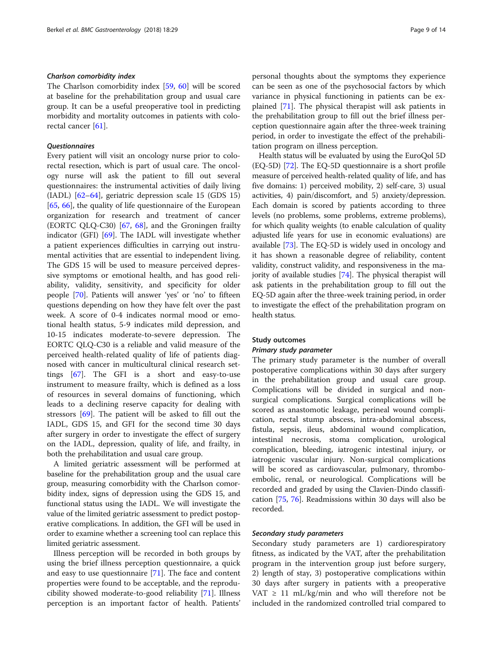## Charlson comorbidity index

The Charlson comorbidity index [[59,](#page-13-0) [60](#page-13-0)] will be scored at baseline for the prehabilitation group and usual care group. It can be a useful preoperative tool in predicting morbidity and mortality outcomes in patients with colorectal cancer [\[61\]](#page-13-0).

### **Questionnaires**

Every patient will visit an oncology nurse prior to colorectal resection, which is part of usual care. The oncology nurse will ask the patient to fill out several questionnaires: the instrumental activities of daily living (IADL) [\[62](#page-13-0)–[64\]](#page-13-0), geriatric depression scale 15 (GDS 15) [[65,](#page-13-0) [66\]](#page-13-0), the quality of life questionnaire of the European organization for research and treatment of cancer (EORTC QLQ-C30) [\[67](#page-13-0), [68](#page-13-0)], and the Groningen frailty indicator (GFI) [\[69\]](#page-13-0). The IADL will investigate whether a patient experiences difficulties in carrying out instrumental activities that are essential to independent living. The GDS 15 will be used to measure perceived depressive symptoms or emotional health, and has good reliability, validity, sensitivity, and specificity for older people [\[70\]](#page-13-0). Patients will answer 'yes' or 'no' to fifteen questions depending on how they have felt over the past week. A score of 0-4 indicates normal mood or emotional health status, 5-9 indicates mild depression, and 10-15 indicates moderate-to-severe depression. The EORTC QLQ-C30 is a reliable and valid measure of the perceived health-related quality of life of patients diagnosed with cancer in multicultural clinical research settings [\[67](#page-13-0)]. The GFI is a short and easy-to-use instrument to measure frailty, which is defined as a loss of resources in several domains of functioning, which leads to a declining reserve capacity for dealing with stressors [\[69](#page-13-0)]. The patient will be asked to fill out the IADL, GDS 15, and GFI for the second time 30 days after surgery in order to investigate the effect of surgery on the IADL, depression, quality of life, and frailty, in both the prehabilitation and usual care group.

A limited geriatric assessment will be performed at baseline for the prehabilitation group and the usual care group, measuring comorbidity with the Charlson comorbidity index, signs of depression using the GDS 15, and functional status using the IADL. We will investigate the value of the limited geriatric assessment to predict postoperative complications. In addition, the GFI will be used in order to examine whether a screening tool can replace this limited geriatric assessment.

Illness perception will be recorded in both groups by using the brief illness perception questionnaire, a quick and easy to use questionnaire [[71\]](#page-13-0). The face and content properties were found to be acceptable, and the reproducibility showed moderate-to-good reliability [[71\]](#page-13-0). Illness perception is an important factor of health. Patients' personal thoughts about the symptoms they experience can be seen as one of the psychosocial factors by which variance in physical functioning in patients can be explained [[71\]](#page-13-0). The physical therapist will ask patients in the prehabilitation group to fill out the brief illness perception questionnaire again after the three-week training period, in order to investigate the effect of the prehabilitation program on illness perception.

Health status will be evaluated by using the EuroQol 5D (EQ-5D) [[72](#page-13-0)]. The EQ-5D questionnaire is a short profile measure of perceived health-related quality of life, and has five domains: 1) perceived mobility, 2) self-care, 3) usual activities, 4) pain/discomfort, and 5) anxiety/depression. Each domain is scored by patients according to three levels (no problems, some problems, extreme problems), for which quality weights (to enable calculation of quality adjusted life years for use in economic evaluations) are available [\[73\]](#page-13-0). The EQ-5D is widely used in oncology and it has shown a reasonable degree of reliability, content validity, construct validity, and responsiveness in the majority of available studies [\[74](#page-13-0)]. The physical therapist will ask patients in the prehabilitation group to fill out the EQ-5D again after the three-week training period, in order to investigate the effect of the prehabilitation program on health status.

#### Study outcomes

#### Primary study parameter

The primary study parameter is the number of overall postoperative complications within 30 days after surgery in the prehabilitation group and usual care group. Complications will be divided in surgical and nonsurgical complications. Surgical complications will be scored as anastomotic leakage, perineal wound complication, rectal stump abscess, intra-abdominal abscess, fistula, sepsis, ileus, abdominal wound complication, intestinal necrosis, stoma complication, urological complication, bleeding, iatrogenic intestinal injury, or iatrogenic vascular injury. Non-surgical complications will be scored as cardiovascular, pulmonary, thromboembolic, renal, or neurological. Complications will be recorded and graded by using the Clavien-Dindo classification [\[75](#page-13-0), [76](#page-13-0)]. Readmissions within 30 days will also be recorded.

## Secondary study parameters

Secondary study parameters are 1) cardiorespiratory fitness, as indicated by the VAT, after the prehabilitation program in the intervention group just before surgery, 2) length of stay, 3) postoperative complications within 30 days after surgery in patients with a preoperative VAT  $\geq$  11 mL/kg/min and who will therefore not be included in the randomized controlled trial compared to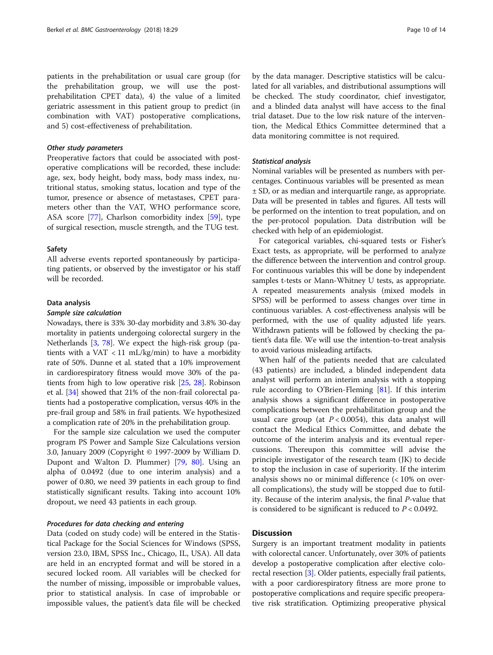patients in the prehabilitation or usual care group (for the prehabilitation group, we will use the postprehabilitation CPET data), 4) the value of a limited geriatric assessment in this patient group to predict (in combination with VAT) postoperative complications, and 5) cost-effectiveness of prehabilitation.

#### Other study parameters

Preoperative factors that could be associated with postoperative complications will be recorded, these include: age, sex, body height, body mass, body mass index, nutritional status, smoking status, location and type of the tumor, presence or absence of metastases, CPET parameters other than the VAT, WHO performance score, ASA score [\[77\]](#page-13-0), Charlson comorbidity index [[59\]](#page-13-0), type of surgical resection, muscle strength, and the TUG test.

### Safety

All adverse events reported spontaneously by participating patients, or observed by the investigator or his staff will be recorded.

#### Data analysis

## Sample size calculation

Nowadays, there is 33% 30-day morbidity and 3.8% 30-day mortality in patients undergoing colorectal surgery in the Netherlands [[3](#page-11-0), [78](#page-13-0)]. We expect the high-risk group (patients with a VAT  $<$  11 mL/kg/min) to have a morbidity rate of 50%. Dunne et al. stated that a 10% improvement in cardiorespiratory fitness would move 30% of the patients from high to low operative risk [[25](#page-12-0), [28\]](#page-12-0). Robinson et al. [\[34](#page-12-0)] showed that 21% of the non-frail colorectal patients had a postoperative complication, versus 40% in the pre-frail group and 58% in frail patients. We hypothesized a complication rate of 20% in the prehabilitation group.

For the sample size calculation we used the computer program PS Power and Sample Size Calculations version 3.0, January 2009 (Copyright © 1997-2009 by William D. Dupont and Walton D. Plummer) [[79,](#page-13-0) [80](#page-13-0)]. Using an alpha of 0.0492 (due to one interim analysis) and a power of 0.80, we need 39 patients in each group to find statistically significant results. Taking into account 10% dropout, we need 43 patients in each group.

## Procedures for data checking and entering

Data (coded on study code) will be entered in the Statistical Package for the Social Sciences for Windows (SPSS, version 23.0, IBM, SPSS Inc., Chicago, IL, USA). All data are held in an encrypted format and will be stored in a secured locked room. All variables will be checked for the number of missing, impossible or improbable values, prior to statistical analysis. In case of improbable or impossible values, the patient's data file will be checked

by the data manager. Descriptive statistics will be calculated for all variables, and distributional assumptions will be checked. The study coordinator, chief investigator, and a blinded data analyst will have access to the final trial dataset. Due to the low risk nature of the intervention, the Medical Ethics Committee determined that a data monitoring committee is not required.

## Statistical analysis

Nominal variables will be presented as numbers with percentages. Continuous variables will be presented as mean ± SD, or as median and interquartile range, as appropriate. Data will be presented in tables and figures. All tests will be performed on the intention to treat population, and on the per-protocol population. Data distribution will be checked with help of an epidemiologist.

For categorical variables, chi-squared tests or Fisher's Exact tests, as appropriate, will be performed to analyze the difference between the intervention and control group. For continuous variables this will be done by independent samples t-tests or Mann-Whitney U tests, as appropriate. A repeated measurements analysis (mixed models in SPSS) will be performed to assess changes over time in continuous variables. A cost-effectiveness analysis will be performed, with the use of quality adjusted life years. Withdrawn patients will be followed by checking the patient's data file. We will use the intention-to-treat analysis to avoid various misleading artifacts.

When half of the patients needed that are calculated (43 patients) are included, a blinded independent data analyst will perform an interim analysis with a stopping rule according to O'Brien-Fleming [[81](#page-13-0)]. If this interim analysis shows a significant difference in postoperative complications between the prehabilitation group and the usual care group (at  $P < 0.0054$ ), this data analyst will contact the Medical Ethics Committee, and debate the outcome of the interim analysis and its eventual repercussions. Thereupon this committee will advise the principle investigator of the research team (JK) to decide to stop the inclusion in case of superiority. If the interim analysis shows no or minimal difference (< 10% on overall complications), the study will be stopped due to futility. Because of the interim analysis, the final P-value that is considered to be significant is reduced to  $P < 0.0492$ .

## **Discussion**

Surgery is an important treatment modality in patients with colorectal cancer. Unfortunately, over 30% of patients develop a postoperative complication after elective colorectal resection [\[3](#page-11-0)]. Older patients, especially frail patients, with a poor cardiorespiratory fitness are more prone to postoperative complications and require specific preoperative risk stratification. Optimizing preoperative physical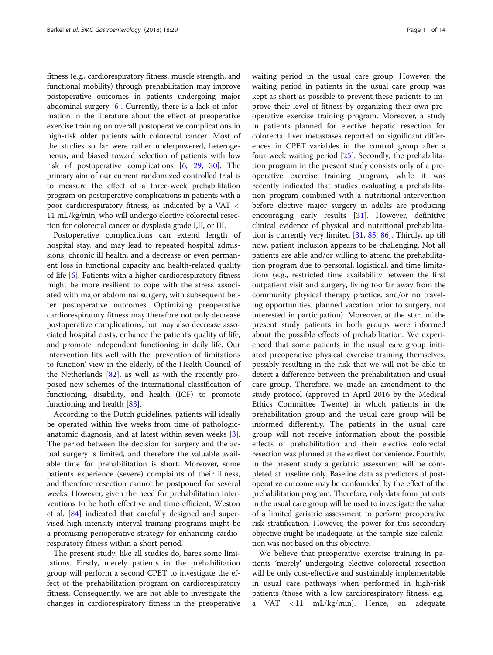fitness (e.g., cardiorespiratory fitness, muscle strength, and functional mobility) through prehabilitation may improve postoperative outcomes in patients undergoing major abdominal surgery  $[6]$  $[6]$ . Currently, there is a lack of information in the literature about the effect of preoperative exercise training on overall postoperative complications in high-risk older patients with colorectal cancer. Most of the studies so far were rather underpowered, heterogeneous, and biased toward selection of patients with low risk of postoperative complications [[6,](#page-11-0) [29](#page-12-0), [30](#page-12-0)]. The primary aim of our current randomized controlled trial is to measure the effect of a three-week prehabilitation program on postoperative complications in patients with a poor cardiorespiratory fitness, as indicated by a VAT < 11 mL/kg/min, who will undergo elective colorectal resection for colorectal cancer or dysplasia grade I,II, or III.

Postoperative complications can extend length of hospital stay, and may lead to repeated hospital admissions, chronic ill health, and a decrease or even permanent loss in functional capacity and health-related quality of life [\[6](#page-11-0)]. Patients with a higher cardiorespiratory fitness might be more resilient to cope with the stress associated with major abdominal surgery, with subsequent better postoperative outcomes. Optimizing preoperative cardiorespiratory fitness may therefore not only decrease postoperative complications, but may also decrease associated hospital costs, enhance the patient's quality of life, and promote independent functioning in daily life. Our intervention fits well with the 'prevention of limitations to function' view in the elderly, of the Health Council of the Netherlands [\[82](#page-13-0)], as well as with the recently proposed new schemes of the international classification of functioning, disability, and health (ICF) to promote functioning and health [[83\]](#page-13-0).

According to the Dutch guidelines, patients will ideally be operated within five weeks from time of pathologicanatomic diagnosis, and at latest within seven weeks [\[3](#page-11-0)]. The period between the decision for surgery and the actual surgery is limited, and therefore the valuable available time for prehabilitation is short. Moreover, some patients experience (severe) complaints of their illness, and therefore resection cannot be postponed for several weeks. However, given the need for prehabilitation interventions to be both effective and time-efficient, Weston et al. [[84](#page-13-0)] indicated that carefully designed and supervised high-intensity interval training programs might be a promising perioperative strategy for enhancing cardiorespiratory fitness within a short period.

The present study, like all studies do, bares some limitations. Firstly, merely patients in the prehabilitation group will perform a second CPET to investigate the effect of the prehabilitation program on cardiorespiratory fitness. Consequently, we are not able to investigate the changes in cardiorespiratory fitness in the preoperative waiting period in the usual care group. However, the waiting period in patients in the usual care group was kept as short as possible to prevent these patients to improve their level of fitness by organizing their own preoperative exercise training program. Moreover, a study in patients planned for elective hepatic resection for colorectal liver metastases reported no significant differences in CPET variables in the control group after a four-week waiting period [[25\]](#page-12-0). Secondly, the prehabilitation program in the present study consists only of a preoperative exercise training program, while it was recently indicated that studies evaluating a prehabilitation program combined with a nutritional intervention before elective major surgery in adults are producing encouraging early results [\[31](#page-12-0)]. However, definitive clinical evidence of physical and nutritional prehabilitation is currently very limited [\[31](#page-12-0), [85,](#page-13-0) [86\]](#page-13-0). Thirdly, up till now, patient inclusion appears to be challenging. Not all patients are able and/or willing to attend the prehabilitation program due to personal, logistical, and time limitations (e.g., restricted time availability between the first outpatient visit and surgery, living too far away from the community physical therapy practice, and/or no traveling opportunities, planned vacation prior to surgery, not interested in participation). Moreover, at the start of the present study patients in both groups were informed about the possible effects of prehabilitation. We experienced that some patients in the usual care group initiated preoperative physical exercise training themselves, possibly resulting in the risk that we will not be able to detect a difference between the prehabilitation and usual care group. Therefore, we made an amendment to the study protocol (approved in April 2016 by the Medical Ethics Committee Twente) in which patients in the prehabilitation group and the usual care group will be informed differently. The patients in the usual care group will not receive information about the possible effects of prehabilitation and their elective colorectal resection was planned at the earliest convenience. Fourthly, in the present study a geriatric assessment will be completed at baseline only. Baseline data as predictors of postoperative outcome may be confounded by the effect of the prehabilitation program. Therefore, only data from patients in the usual care group will be used to investigate the value of a limited geriatric assessment to perform preoperative risk stratification. However, the power for this secondary objective might be inadequate, as the sample size calculation was not based on this objective.

We believe that preoperative exercise training in patients 'merely' undergoing elective colorectal resection will be only cost-effective and sustainably implementable in usual care pathways when performed in high-risk patients (those with a low cardiorespiratory fitness, e.g., a VAT < 11 mL/kg/min). Hence, an adequate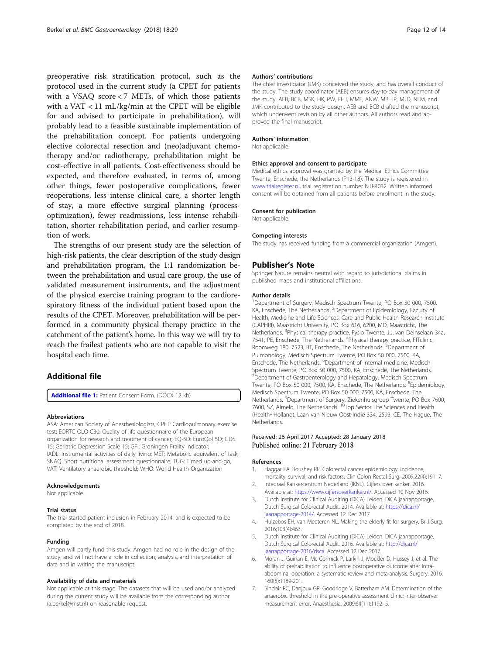<span id="page-11-0"></span>preoperative risk stratification protocol, such as the protocol used in the current study (a CPET for patients with a VSAQ score < 7 METs, of which those patients with a VAT  $<$  11 mL/kg/min at the CPET will be eligible for and advised to participate in prehabilitation), will probably lead to a feasible sustainable implementation of the prehabilitation concept. For patients undergoing elective colorectal resection and (neo)adjuvant chemotherapy and/or radiotherapy, prehabilitation might be cost-effective in all patients. Cost-effectiveness should be expected, and therefore evaluated, in terms of, among other things, fewer postoperative complications, fewer reoperations, less intense clinical care, a shorter length of stay, a more effective surgical planning (processoptimization), fewer readmissions, less intense rehabilitation, shorter rehabilitation period, and earlier resumption of work.

The strengths of our present study are the selection of high-risk patients, the clear description of the study design and prehabilitation program, the 1:1 randomization between the prehabilitation and usual care group, the use of validated measurement instruments, and the adjustment of the physical exercise training program to the cardiorespiratory fitness of the individual patient based upon the results of the CPET. Moreover, prehabilitation will be performed in a community physical therapy practice in the catchment of the patient's home. In this way we will try to reach the frailest patients who are not capable to visit the hospital each time.

## Additional file

[Additional file 1:](https://doi.org/10.1186/s12876-018-0754-6) Patient Consent Form. (DOCX 12 kb)

#### Abbreviations

ASA: American Society of Anesthesiologists; CPET: Cardiopulmonary exercise test; EORTC QLQ-C30: Quality of life questionnaire of the European organization for research and treatment of cancer; EQ-5D: EuroQol 5D; GDS 15: Geriatric Depression Scale 15; GFI: Groningen Frailty Indicator; IADL: Instrumental activities of daily living; MET: Metabolic equivalent of task; SNAQ: Short nutritional assessment questionnaire; TUG: Timed up-and-go; VAT: Ventilatory anaerobic threshold; WHO: World Health Organization

#### Acknowledgements

Not applicable.

#### Trial status

The trial started patient inclusion in February 2014, and is expected to be completed by the end of 2018.

#### Funding

Amgen will partly fund this study. Amgen had no role in the design of the study, and will not have a role in collection, analysis, and interpretation of data and in writing the manuscript.

#### Availability of data and materials

Not applicable at this stage. The datasets that will be used and/or analyzed during the current study will be available from the corresponding author (a.berkel@mst.nl) on reasonable request.

#### Authors' contributions

The chief investigator (JMK) conceived the study, and has overall conduct of the study. The study coordinator (AEB) ensures day-to-day management of the study. AEB, BCB, MSK, HK, PW, FHJ, MME, ANW, MB, JP, MJD, NLM, and JMK contributed to the study design. AEB and BCB drafted the manuscript, which underwent revision by all other authors. All authors read and approved the final manuscript.

#### Authors' information

Not applicable.

#### Ethics approval and consent to participate

Medical ethics approval was granted by the Medical Ethics Committee Twente, Enschede, the Netherlands (P13-18). The study is registered in [www.trialregister.nl](http://www.trialregister.nl), trial registration number NTR4032. Written informed consent will be obtained from all patients before enrolment in the study.

#### Consent for publication

Not applicable.

#### Competing interests

The study has received funding from a commercial organization (Amgen).

### Publisher's Note

Springer Nature remains neutral with regard to jurisdictional claims in published maps and institutional affiliations.

#### Author details

<sup>1</sup>Department of Surgery, Medisch Spectrum Twente, PO Box 50 000, 7500 KA, Enschede, The Netherlands. <sup>2</sup> Department of Epidemiology, Faculty of Health, Medicine and Life Sciences, Care and Public Health Research Institute (CAPHRI), Maastricht University, PO Box 616, 6200, MD, Maastricht, The Netherlands. <sup>3</sup>Physical therapy practice, Fysio Twente, J.J. van Deinselaan 34a, 7541, PE, Enschede, The Netherlands. <sup>4</sup>Physical therapy practice, FITclinic Roomweg 180, 7523, BT, Enschede, The Netherlands. <sup>5</sup>Department of Pulmonology, Medisch Spectrum Twente, PO Box 50 000, 7500, KA, Enschede, The Netherlands. <sup>6</sup>Department of Internal medicine, Medisch Spectrum Twente, PO Box 50 000, 7500, KA, Enschede, The Netherlands. <sup>7</sup> Department of Gastroenterology and Hepatology, Medisch Spectrum Twente, PO Box 50 000, 7500, KA, Enschede, The Netherlands. <sup>8</sup>Epidemiology, Medisch Spectrum Twente, PO Box 50 000, 7500, KA, Enschede, The Netherlands. <sup>9</sup>Department of Surgery, Ziekenhuisgroep Twente, PO Box 7600 7600, SZ, Almelo, The Netherlands. <sup>10</sup>Top Sector Life Sciences and Health (Health~Holland), Laan van Nieuw Oost-Indië 334, 2593, CE, The Hague, The Netherlands.

## Received: 26 April 2017 Accepted: 28 January 2018 Published online: 21 February 2018

#### References

- Haggar FA, Boushey RP. Colorectal cancer epidemiology: incidence, mortality, survival, and risk factors. Clin Colon Rectal Surg. 2009;22(4):191–7.
- 2. Integraal Kankercentrum Nederland (IKNL). Cijfers over kanker. 2016. Available at: [https://www.cijfersoverkanker.nl/.](https://www.cijfersoverkanker.nl/) Accessed 10 Nov 2016.
- 3. Dutch Institute for Clinical Auditing (DICA) Leiden. DICA jaarrapportage. Dutch Surgical Colorectal Audit. 2014. Available at: [https://dica.nl/](https://dica.nl/jaarrapportage-2014/) [jaarrapportage-2014/](https://dica.nl/jaarrapportage-2014/). Accessed 12 Dec 2017
- 4. Hulzebos EH, van Meeteren NL. Making the elderly fit for surgery. Br J Surg. 2016;103(4):463.
- 5. Dutch Institute for Clinical Auditing (DICA) Leiden. DICA jaarrapportage. Dutch Surgical Colorectal Audit. 2016. Available at: [http://dica.nl/](http://dica.nl/jaarrapportage-2016/dsca) [jaarrapportage-2016/dsca](http://dica.nl/jaarrapportage-2016/dsca). Accessed 12 Dec 2017.
- 6. Moran J, Guinan E, Mc Cormick P, Larkin J, Mockler D, Hussey J, et al. The ability of prehabilitation to influence postoperative outcome after intraabdominal operation: a systematic review and meta-analysis. Surgery. 2016; 160(5):1189-201.
- Sinclair RC, Danjoux GR, Goodridge V, Batterham AM. Determination of the anaerobic threshold in the pre-operative assessment clinic: inter-observer measurement error. Anaesthesia. 2009;64(11):1192–5.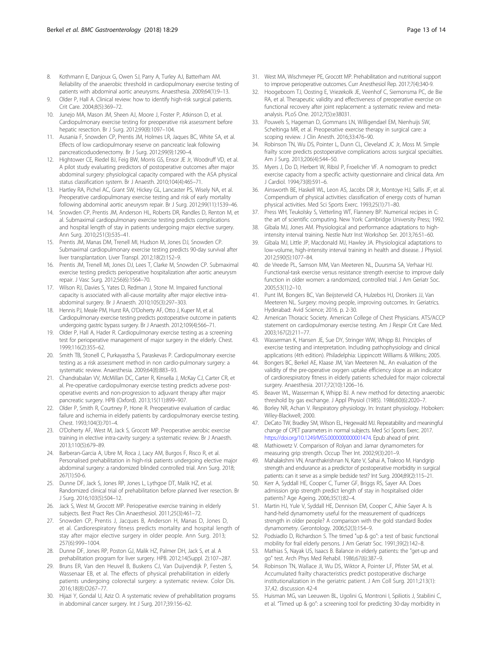- <span id="page-12-0"></span>8. Kothmann E, Danjoux G, Owen SJ, Parry A, Turley AJ, Batterham AM. Reliability of the anaerobic threshold in cardiopulmonary exercise testing of patients with abdominal aortic aneurysms. Anaesthesia. 2009;64(1):9–13.
- Older P, Hall A. Clinical review: how to identify high-risk surgical patients. Crit Care. 2004;8(5):369–72.
- 10. Junejo MA, Mason JM, Sheen AJ, Moore J, Foster P, Atkinson D, et al. Cardiopulmonary exercise testing for preoperative risk assessment before hepatic resection. Br J Surg. 2012;99(8):1097–104.
- 11. Ausania F, Snowden CP, Prentis JM, Holmes LR, Jaques BC, White SA, et al. Effects of low cardiopulmonary reserve on pancreatic leak following pancreaticoduodenectomy. Br J Surg. 2012;99(9):1290–4.
- 12. Hightower CE, Riedel BJ, Feig BW, Morris GS, Ensor JE Jr, Woodruff VD, et al. A pilot study evaluating predictors of postoperative outcomes after major abdominal surgery: physiological capacity compared with the ASA physical status classification system. Br J Anaesth. 2010;104(4):465–71.
- 13. Hartley RA, Pichel AC, Grant SW, Hickey GL, Lancaster PS, Wisely NA, et al. Preoperative cardiopulmonary exercise testing and risk of early mortality following abdominal aortic aneurysm repair. Br J Surg. 2012;99(11):1539–46.
- 14. Snowden CP, Prentis JM, Anderson HL, Roberts DR, Randles D, Renton M, et al. Submaximal cardiopulmonary exercise testing predicts complications and hospital length of stay in patients undergoing major elective surgery. Ann Surg. 2010;251(3):535–41.
- 15. Prentis JM, Manas DM, Trenell MI, Hudson M, Jones DJ, Snowden CP. Submaximal cardiopulmonary exercise testing predicts 90-day survival after liver transplantation. Liver Transpl. 2012;18(2):152–9.
- 16. Prentis JM, Trenell MI, Jones DJ, Lees T, Clarke M, Snowden CP. Submaximal exercise testing predicts perioperative hospitalization after aortic aneurysm repair. J Vasc Surg. 2012;56(6):1564–70.
- 17. Wilson RJ, Davies S, Yates D, Redman J, Stone M. Impaired functional capacity is associated with all-cause mortality after major elective intraabdominal surgery. Br J Anaesth. 2010;105(3):297–303.
- 18. Hennis PJ, Meale PM, Hurst RA, O'Doherty AF, Otto J, Kuper M, et al. Cardiopulmonary exercise testing predicts postoperative outcome in patients undergoing gastric bypass surgery. Br J Anaesth. 2012;109(4):566–71.
- 19. Older P, Hall A, Hader R. Cardiopulmonary exercise testing as a screening test for perioperative management of major surgery in the elderly. Chest. 1999;116(2):355–62.
- 20. Smith TB, Stonell C, Purkayastha S, Paraskevas P. Cardiopulmonary exercise testing as a risk assessment method in non cardio-pulmonary surgery: a systematic review. Anaesthesia. 2009;64(8):883–93.
- 21. Chandrabalan W, McMillan DC, Carter R, Kinsella J, McKay CJ, Carter CR, et al. Pre-operative cardiopulmonary exercise testing predicts adverse postoperative events and non-progression to adjuvant therapy after major pancreatic surgery. HPB (Oxford). 2013;15(11):899–907.
- 22. Older P, Smith R, Courtney P, Hone R. Preoperative evaluation of cardiac failure and ischemia in elderly patients by cardiopulmonary exercise testing. Chest. 1993;104(3):701–4.
- 23. O'Doherty AF, West M, Jack S, Grocott MP. Preoperative aerobic exercise training in elective intra-cavity surgery: a systematic review. Br J Anaesth. 2013;110(5):679–89.
- 24. Barberan-Garcia A, Ubre M, Roca J, Lacy AM, Burgos F, Risco R, et al. Personalised prehabilitation in high-risk patients undergoing elective major abdominal surgery: a randomized blinded controlled trial. Ann Surg. 2018; 267(1):50-6.
- 25. Dunne DF, Jack S, Jones RP, Jones L, Lythgoe DT, Malik HZ, et al. Randomized clinical trial of prehabilitation before planned liver resection. Br J Surg. 2016;103(5):504–12.
- 26. Jack S, West M, Grocott MP. Perioperative exercise training in elderly subjects. Best Pract Res Clin Anaesthesiol. 2011;25(3):461–72.
- 27. Snowden CP, Prentis J, Jacques B, Anderson H, Manas D, Jones D, et al. Cardiorespiratory fitness predicts mortality and hospital length of stay after major elective surgery in older people. Ann Surg. 2013; 257(6):999–1004.
- 28. Dunne DF, Jones RP, Poston GJ, Malik HZ, Palmer DH, Jack S, et al. A prehabilitation program for liver surgery. HPB. 2012;14(Suppl. 2):107–287.
- 29. Bruns ER, Van den Heuvel B, Buskens CJ, Van Duijvendijk P, Festen S, Wassenaar EB, et al. The effects of physical prehabilitation in elderly patients undergoing colorectal surgery: a systematic review. Color Dis. 2016;18(8):O267–77.
- 30. Hijazi Y, Gondal U, Aziz O. A systematic review of prehabilitation programs in abdominal cancer surgery. Int J Surg. 2017;39:156–62.
- 31. West MA, Wischmeyer PE, Grocott MP. Prehabilitation and nutritional support to improve perioperative outcomes. Curr Anesthesiol Rep. 2017;7(4):340-9.
- 32. Hoogeboom TJ, Oosting E, Vriezekolk JE, Veenhof C, Siemonsma PC, de Bie RA, et al. Therapeutic validity and effectiveness of preoperative exercise on functional recovery after joint replacement: a systematic review and metaanalysis. PLoS One. 2012;7(5):e38031.
- 33. Pouwels S, Hageman D, Gommans LN, Willigendael EM, Nienhuijs SW, Scheltinga MR, et al. Preoperative exercise therapy in surgical care: a scoping review. J Clin Anesth. 2016;33:476–90.
- 34. Robinson TN, Wu DS, Pointer L, Dunn CL, Cleveland JC Jr, Moss M. Simple frailty score predicts postoperative complications across surgical specialties. Am J Surg. 2013;206(4):544–50.
- 35. Myers J, Do D, Herbert W, Ribisl P, Froelicher VF. A nomogram to predict exercise capacity from a specific activity questionnaire and clinical data. Am J Cardiol. 1994;73(8):591–6.
- 36. Ainsworth BE, Haskell WL, Leon AS, Jacobs DR Jr, Montoye HJ, Sallis JF, et al. Compendium of physical activities: classification of energy costs of human physical activities. Med Sci Sports Exerc. 1993;25(1):71–80.
- 37. Press WH, Teukolsky S, Vetterling WT, Flannery BP. Numerical recipes in C: the art of scientific computing. New York: Cambridge University Press; 1992.
- 38. Gibala MJ, Jones AM. Physiological and performance adaptations to highintensity interval training. Nestle Nutr Inst Workshop Ser. 2013;76:51–60.
- 39. Gibala MJ, Little JP, Macdonald MJ, Hawley JA. Physiological adaptations to low-volume, high-intensity interval training in health and disease. J Physiol. 2012;590(5):1077–84.
- 40. de Vreede PL, Samson MM, Van Meeteren NL, Duursma SA, Verhaar HJ. Functional-task exercise versus resistance strength exercise to improve daily function in older women: a randomized, controlled trial. J Am Geriatr Soc. 2005;53(1):2–10.
- 41. Punt IM, Bongers BC, Van Beijsterveld CA, Hulzebos HJ, Dronkers JJ, Van Meeteren NL. Surgery: moving people, improving outcomes. In: Geriatrics. Hyderabad: Avid Science; 2016. p. 2-30.
- 42. American Thoracic Society. American College of Chest Physicians. ATS/ACCP statement on cardiopulmonary exercise testing. Am J Respir Crit Care Med. 2003;167(2):211–77.
- 43. Wasserman K, Hansen JE, Sue DY, Stringer WW, Whipp BJ. Principles of exercise testing and interpretation. Including pathophysiology and clinical applications (4th edition). Philadelphia: Lippincott Williams & Wilkins; 2005.
- 44. Bongers BC, Berkel AE, Klaase JM, Van Meeteren NL. An evaluation of the validity of the pre-operative oxygen uptake efficiency slope as an indicator of cardiorespiratory fitness in elderly patients scheduled for major colorectal surgery. Anaesthesia. 2017;72(10):1206–16.
- Beaver WL, Wasserman K, Whipp BJ. A new method for detecting anaerobic threshold by gas exchange. J Appl Physiol (1985). 1986;60(6):2020–7.
- 46. Borley NR, Achan V. Respiratory physiology. In: Instant physiology. Hoboken: Wiley-Blackwell; 2000.
- 47. DeCato TW, Bradley SM, Wilson EL, Hegewald MJ. Repeatability and meaningful change of CPET parameters in normal subjects. Med Sci Sports Exerc. 2017. <https://doi.org/10.1249/MSS.0000000000001474>. Epub ahead of print.
- 48. Mathiowetz V. Comparison of Rolyan and Jamar dynamometers for measuring grip strength. Occup Ther Int. 2002;9(3):201–9.
- 49. Mahalakshmi VN, Ananthakrishnan N, Kate V, Sahai A, Trakroo M. Handgrip strength and endurance as a predictor of postoperative morbidity in surgical patients: can it serve as a simple bedside test? Int Surg. 2004;89(2):115–21.
- 50. Kerr A, Syddall HE, Cooper C, Turner GF, Briggs RS, Sayer AA. Does admission grip strength predict length of stay in hospitalised older patients? Age Ageing. 2006;35(1):82–4.
- 51. Martin HJ, Yule V, Syddall HE, Dennison EM, Cooper C, Aihie Sayer A. Is hand-held dynamometry useful for the measurement of quadriceps strength in older people? A comparison with the gold standard Bodex dynamometry. Gerontology. 2006;52(3):154–9.
- 52. Podsiadlo D, Richardson S. The timed "up & go": a test of basic functional mobility for frail elderly persons. J Am Geriatr Soc. 1991;39(2):142–8.
- 53. Mathias S, Nayak US, Isaacs B. Balance in elderly patients: the "get-up and go" test. Arch Phys Med Rehabil. 1986;67(6):387–9.
- 54. Robinson TN, Wallace JI, Wu DS, Wiktor A, Pointer LF, Pfister SM, et al. Accumulated frailty characteristics predict postoperative discharge institutionalization in the geriatric patient. J Am Coll Surg. 2011;213(1): 37,42. discussion 42-4
- 55. Huisman MG, van Leeuwen BL, Ugolini G, Montroni I, Spiliotis J, Stabilini C, et al. "Timed up & go": a screening tool for predicting 30-day morbidity in